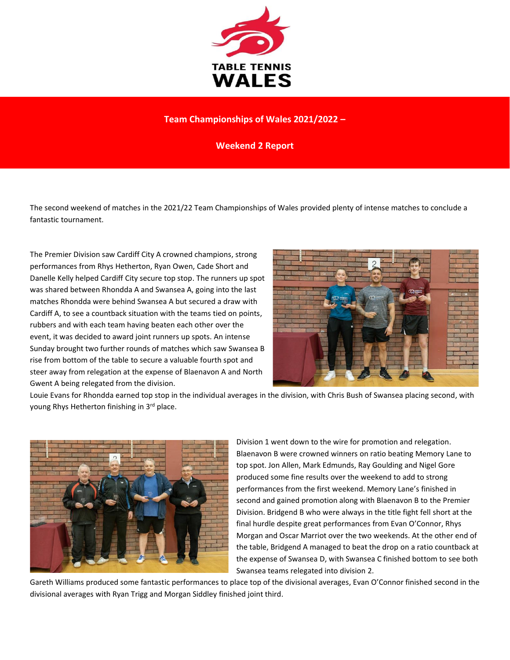

## **Team Championships of Wales 2021/2022 –**

**Weekend 2 Report**

The second weekend of matches in the 2021/22 Team Championships of Wales provided plenty of intense matches to conclude a fantastic tournament.

The Premier Division saw Cardiff City A crowned champions, strong performances from Rhys Hetherton, Ryan Owen, Cade Short and Danelle Kelly helped Cardiff City secure top stop. The runners up spot was shared between Rhondda A and Swansea A, going into the last matches Rhondda were behind Swansea A but secured a draw with Cardiff A, to see a countback situation with the teams tied on points, rubbers and with each team having beaten each other over the event, it was decided to award joint runners up spots. An intense Sunday brought two further rounds of matches which saw Swansea B rise from bottom of the table to secure a valuable fourth spot and steer away from relegation at the expense of Blaenavon A and North Gwent A being relegated from the division.



Louie Evans for Rhondda earned top stop in the individual averages in the division, with Chris Bush of Swansea placing second, with young Rhys Hetherton finishing in 3rd place.



Division 1 went down to the wire for promotion and relegation. Blaenavon B were crowned winners on ratio beating Memory Lane to top spot. Jon Allen, Mark Edmunds, Ray Goulding and Nigel Gore produced some fine results over the weekend to add to strong performances from the first weekend. Memory Lane's finished in second and gained promotion along with Blaenavon B to the Premier Division. Bridgend B who were always in the title fight fell short at the final hurdle despite great performances from Evan O'Connor, Rhys Morgan and Oscar Marriot over the two weekends. At the other end of the table, Bridgend A managed to beat the drop on a ratio countback at the expense of Swansea D, with Swansea C finished bottom to see both Swansea teams relegated into division 2.

Gareth Williams produced some fantastic performances to place top of the divisional averages, Evan O'Connor finished second in the divisional averages with Ryan Trigg and Morgan Siddley finished joint third.